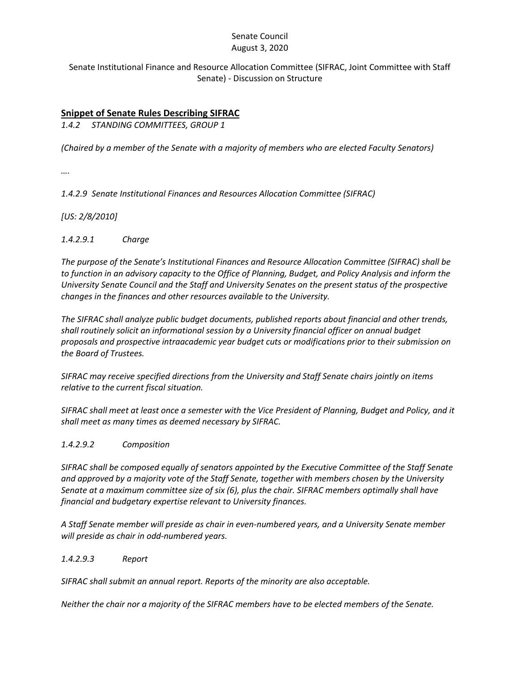#### Senate Council August 3, 2020

### Senate Institutional Finance and Resource Allocation Committee (SIFRAC, Joint Committee with Staff Senate) - Discussion on Structure

## **Snippet of Senate Rules Describing SIFRAC**

*1.4.2 STANDING COMMITTEES, GROUP 1*

*(Chaired by a member of the Senate with a majority of members who are elected Faculty Senators)*

*….*

*1.4.2.9 Senate Institutional Finances and Resources Allocation Committee (SIFRAC)* 

*[US: 2/8/2010]*

*1.4.2.9.1 Charge* 

*The purpose of the Senate's Institutional Finances and Resource Allocation Committee (SIFRAC) shall be to function in an advisory capacity to the Office of Planning, Budget, and Policy Analysis and inform the University Senate Council and the Staff and University Senates on the present status of the prospective changes in the finances and other resources available to the University.* 

*The SIFRAC shall analyze public budget documents, published reports about financial and other trends, shall routinely solicit an informational session by a University financial officer on annual budget proposals and prospective intraacademic year budget cuts or modifications prior to their submission on the Board of Trustees.*

*SIFRAC may receive specified directions from the University and Staff Senate chairs jointly on items relative to the current fiscal situation.* 

*SIFRAC shall meet at least once a semester with the Vice President of Planning, Budget and Policy, and it shall meet as many times as deemed necessary by SIFRAC.*

### *1.4.2.9.2 Composition*

*SIFRAC shall be composed equally of senators appointed by the Executive Committee of the Staff Senate and approved by a majority vote of the Staff Senate, together with members chosen by the University Senate at a maximum committee size of six (6), plus the chair. SIFRAC members optimally shall have financial and budgetary expertise relevant to University finances.*

*A Staff Senate member will preside as chair in even-numbered years, and a University Senate member will preside as chair in odd-numbered years.*

#### *1.4.2.9.3 Report*

*SIFRAC shall submit an annual report. Reports of the minority are also acceptable.* 

*Neither the chair nor a majority of the SIFRAC members have to be elected members of the Senate.*